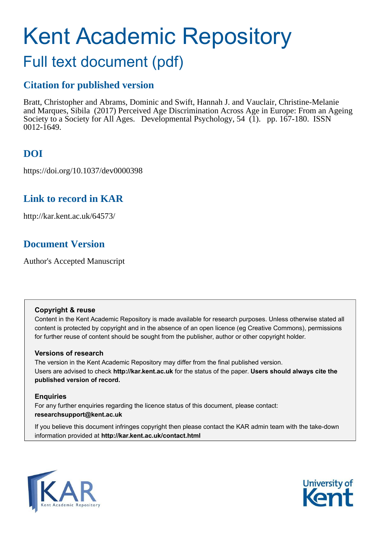# Kent Academic Repository

# Full text document (pdf)

## **Citation for published version**

Bratt, Christopher and Abrams, Dominic and Swift, Hannah J. and Vauclair, Christine-Melanie and Marques, Sibila (2017) Perceived Age Discrimination Across Age in Europe: From an Ageing Society to a Society for All Ages. Developmental Psychology, 54 (1). pp. 167-180. ISSN 0012-1649.

## **DOI**

https://doi.org/10.1037/dev0000398

## **Link to record in KAR**

http://kar.kent.ac.uk/64573/

## **Document Version**

Author's Accepted Manuscript

### **Copyright & reuse**

Content in the Kent Academic Repository is made available for research purposes. Unless otherwise stated all content is protected by copyright and in the absence of an open licence (eg Creative Commons), permissions for further reuse of content should be sought from the publisher, author or other copyright holder.

### **Versions of research**

The version in the Kent Academic Repository may differ from the final published version. Users are advised to check **http://kar.kent.ac.uk** for the status of the paper. **Users should always cite the published version of record.**

### **Enquiries**

For any further enquiries regarding the licence status of this document, please contact: **researchsupport@kent.ac.uk**

If you believe this document infringes copyright then please contact the KAR admin team with the take-down information provided at **http://kar.kent.ac.uk/contact.html**



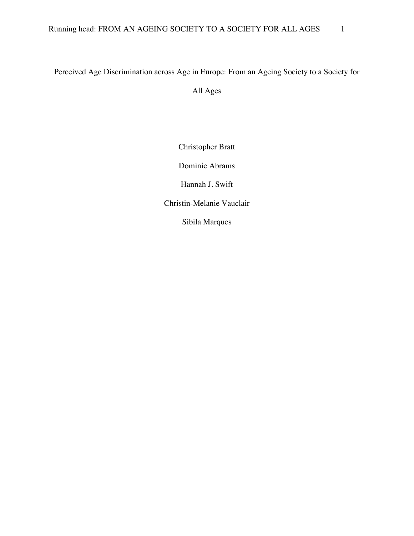## Perceived Age Discrimination across Age in Europe: From an Ageing Society to a Society for All Ages

Christopher Bratt

Dominic Abrams

Hannah J. Swift

Christin-Melanie Vauclair

Sibila Marques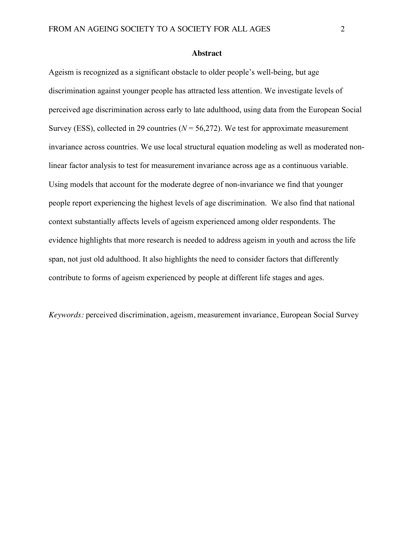**Abstract**

Ageism is recognized as a significant obstacle to older people's well-being, but age discrimination against younger people has attracted less attention. We investigate levels of perceived age discrimination across early to late adulthood, using data from the European Social Survey (ESS), collected in 29 countries ( $N = 56,272$ ). We test for approximate measurement invariance across countries. We use local structural equation modeling as well as moderated nonlinear factor analysis to test for measurement invariance across age as a continuous variable. Using models that account for the moderate degree of non-invariance we find that younger people report experiencing the highest levels of age discrimination. We also find that national context substantially affects levels of ageism experienced among older respondents. The evidence highlights that more research is needed to address ageism in youth and across the life span, not just old adulthood. It also highlights the need to consider factors that differently contribute to forms of ageism experienced by people at different life stages and ages.

*Keywords:* perceived discrimination, ageism, measurement invariance, European Social Survey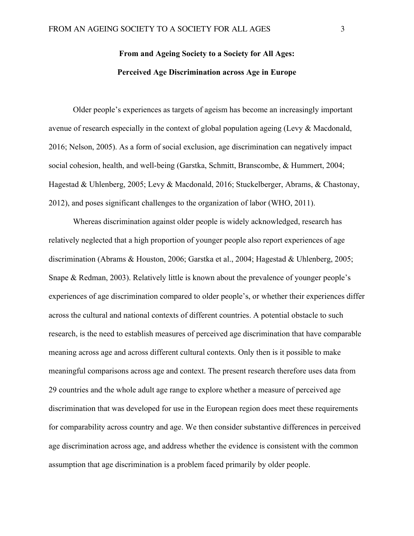## **From and Ageing Society to a Society for All Ages: Perceived Age Discrimination across Age in Europe**

Older people's experiences as targets of ageism has become an increasingly important avenue of research especially in the context of global population ageing (Levy & Macdonald, 2016; Nelson, 2005). As a form of social exclusion, age discrimination can negatively impact social cohesion, health, and well-being (Garstka, Schmitt, Branscombe, & Hummert, 2004; Hagestad & Uhlenberg, 2005; Levy & Macdonald, 2016; Stuckelberger, Abrams, & Chastonay, 2012), and poses significant challenges to the organization of labor (WHO, 2011).

Whereas discrimination against older people is widely acknowledged, research has relatively neglected that a high proportion of younger people also report experiences of age discrimination (Abrams & Houston, 2006; Garstka et al., 2004; Hagestad & Uhlenberg, 2005; Snape & Redman, 2003). Relatively little is known about the prevalence of younger people's experiences of age discrimination compared to older people's, or whether their experiences differ across the cultural and national contexts of different countries. A potential obstacle to such research, is the need to establish measures of perceived age discrimination that have comparable meaning across age and across different cultural contexts. Only then is it possible to make meaningful comparisons across age and context. The present research therefore uses data from 29 countries and the whole adult age range to explore whether a measure of perceived age discrimination that was developed for use in the European region does meet these requirements for comparability across country and age. We then consider substantive differences in perceived age discrimination across age, and address whether the evidence is consistent with the common assumption that age discrimination is a problem faced primarily by older people.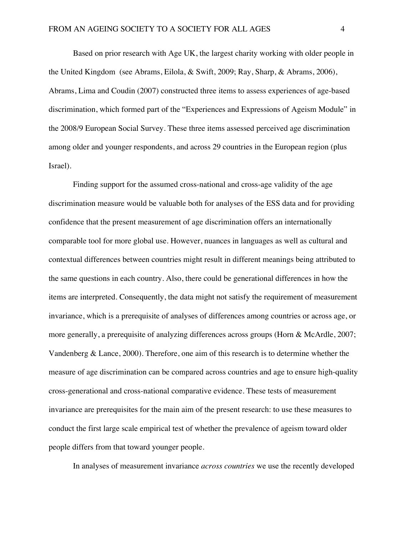Based on prior research with Age UK, the largest charity working with older people in the United Kingdom (see Abrams, Eilola, & Swift, 2009; Ray, Sharp, & Abrams, 2006), Abrams, Lima and Coudin (2007) constructed three items to assess experiences of age-based discrimination, which formed part of the "Experiences and Expressions of Ageism Module" in the 2008/9 European Social Survey. These three items assessed perceived age discrimination among older and younger respondents, and across 29 countries in the European region (plus Israel).

Finding support for the assumed cross-national and cross-age validity of the age discrimination measure would be valuable both for analyses of the ESS data and for providing confidence that the present measurement of age discrimination offers an internationally comparable tool for more global use. However, nuances in languages as well as cultural and contextual differences between countries might result in different meanings being attributed to the same questions in each country. Also, there could be generational differences in how the items are interpreted. Consequently, the data might not satisfy the requirement of measurement invariance, which is a prerequisite of analyses of differences among countries or across age, or more generally, a prerequisite of analyzing differences across groups (Horn & McArdle, 2007; Vandenberg & Lance, 2000). Therefore, one aim of this research is to determine whether the measure of age discrimination can be compared across countries and age to ensure high-quality cross-generational and cross-national comparative evidence. These tests of measurement invariance are prerequisites for the main aim of the present research: to use these measures to conduct the first large scale empirical test of whether the prevalence of ageism toward older people differs from that toward younger people.

In analyses of measurement invariance *across countries* we use the recently developed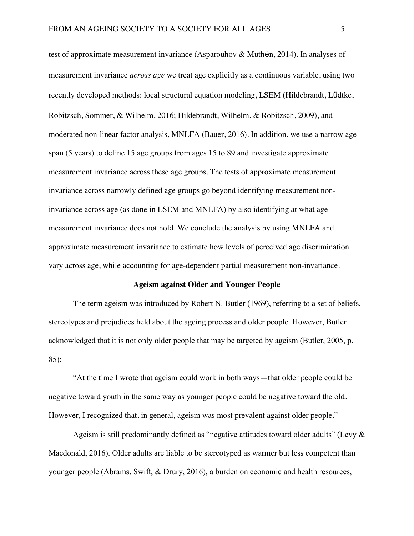test of approximate measurement invariance (Asparouhov & Muthén, 2014). In analyses of measurement invariance *across age* we treat age explicitly as a continuous variable, using two recently developed methods: local structural equation modeling, LSEM (Hildebrandt, Lüdtke, Robitzsch, Sommer, & Wilhelm, 2016; Hildebrandt, Wilhelm, & Robitzsch, 2009), and moderated non-linear factor analysis, MNLFA (Bauer, 2016). In addition, we use a narrow agespan (5 years) to define 15 age groups from ages 15 to 89 and investigate approximate measurement invariance across these age groups. The tests of approximate measurement invariance across narrowly defined age groups go beyond identifying measurement noninvariance across age (as done in LSEM and MNLFA) by also identifying at what age measurement invariance does not hold. We conclude the analysis by using MNLFA and approximate measurement invariance to estimate how levels of perceived age discrimination vary across age, while accounting for age-dependent partial measurement non-invariance.

#### **Ageism against Older and Younger People**

The term ageism was introduced by Robert N. Butler (1969), referring to a set of beliefs, stereotypes and prejudices held about the ageing process and older people. However, Butler acknowledged that it is not only older people that may be targeted by ageism (Butler, 2005, p. 85):

"At the time I wrote that ageism could work in both ways—that older people could be negative toward youth in the same way as younger people could be negative toward the old. However, I recognized that, in general, ageism was most prevalent against older people."

Ageism is still predominantly defined as "negative attitudes toward older adults" (Levy  $\&$ Macdonald, 2016). Older adults are liable to be stereotyped as warmer but less competent than younger people (Abrams, Swift, & Drury, 2016), a burden on economic and health resources,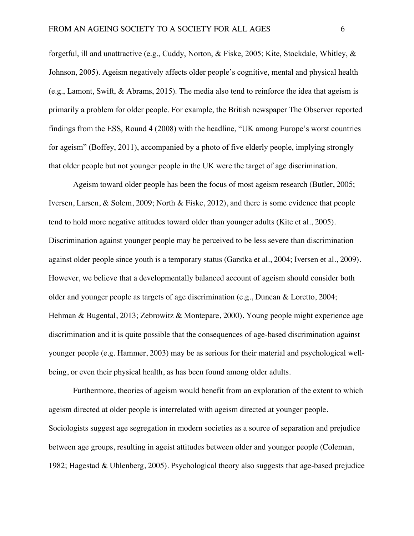forgetful, ill and unattractive (e.g., Cuddy, Norton, & Fiske, 2005; Kite, Stockdale, Whitley, & Johnson, 2005). Ageism negatively affects older people's cognitive, mental and physical health (e.g., Lamont, Swift, & Abrams, 2015). The media also tend to reinforce the idea that ageism is primarily a problem for older people. For example, the British newspaper The Observer reported findings from the ESS, Round 4 (2008) with the headline, "UK among Europe's worst countries for ageism" (Boffey, 2011), accompanied by a photo of five elderly people, implying strongly that older people but not younger people in the UK were the target of age discrimination.

Ageism toward older people has been the focus of most ageism research (Butler, 2005; Iversen, Larsen, & Solem, 2009; North & Fiske, 2012), and there is some evidence that people tend to hold more negative attitudes toward older than younger adults (Kite et al., 2005). Discrimination against younger people may be perceived to be less severe than discrimination against older people since youth is a temporary status (Garstka et al., 2004; Iversen et al., 2009). However, we believe that a developmentally balanced account of ageism should consider both older and younger people as targets of age discrimination (e.g., Duncan & Loretto, 2004; Hehman & Bugental, 2013; Zebrowitz & Montepare, 2000). Young people might experience age discrimination and it is quite possible that the consequences of age-based discrimination against younger people (e.g. Hammer, 2003) may be as serious for their material and psychological wellbeing, or even their physical health, as has been found among older adults.

Furthermore, theories of ageism would benefit from an exploration of the extent to which ageism directed at older people is interrelated with ageism directed at younger people. Sociologists suggest age segregation in modern societies as a source of separation and prejudice between age groups, resulting in ageist attitudes between older and younger people (Coleman, 1982; Hagestad & Uhlenberg, 2005). Psychological theory also suggests that age-based prejudice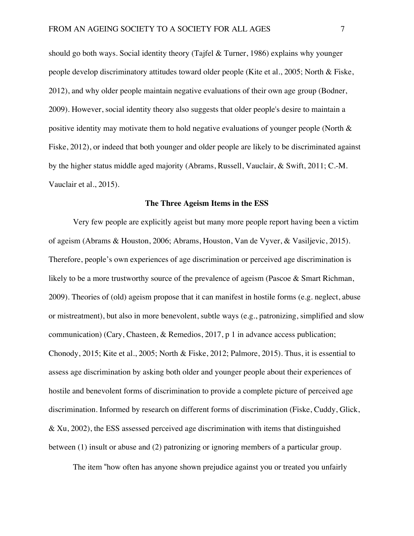should go both ways. Social identity theory (Tajfel & Turner, 1986) explains why younger people develop discriminatory attitudes toward older people (Kite et al., 2005; North & Fiske, 2012), and why older people maintain negative evaluations of their own age group (Bodner, 2009). However, social identity theory also suggests that older people's desire to maintain a positive identity may motivate them to hold negative evaluations of younger people (North & Fiske, 2012), or indeed that both younger and older people are likely to be discriminated against by the higher status middle aged majority (Abrams, Russell, Vauclair, & Swift, 2011; C.-M. Vauclair et al., 2015).

#### **The Three Ageism Items in the ESS**

Very few people are explicitly ageist but many more people report having been a victim of ageism (Abrams & Houston, 2006; Abrams, Houston, Van de Vyver, & Vasiljevic, 2015). Therefore, people's own experiences of age discrimination or perceived age discrimination is likely to be a more trustworthy source of the prevalence of ageism (Pascoe & Smart Richman, 2009). Theories of (old) ageism propose that it can manifest in hostile forms (e.g. neglect, abuse or mistreatment), but also in more benevolent, subtle ways (e.g., patronizing, simplified and slow communication) (Cary, Chasteen, & Remedios, 2017, p 1 in advance access publication; Chonody, 2015; Kite et al., 2005; North & Fiske, 2012; Palmore, 2015). Thus, it is essential to assess age discrimination by asking both older and younger people about their experiences of hostile and benevolent forms of discrimination to provide a complete picture of perceived age discrimination. Informed by research on different forms of discrimination (Fiske, Cuddy, Glick, & Xu, 2002), the ESS assessed perceived age discrimination with items that distinguished between (1) insult or abuse and (2) patronizing or ignoring members of a particular group.

The item "how often has anyone shown prejudice against you or treated you unfairly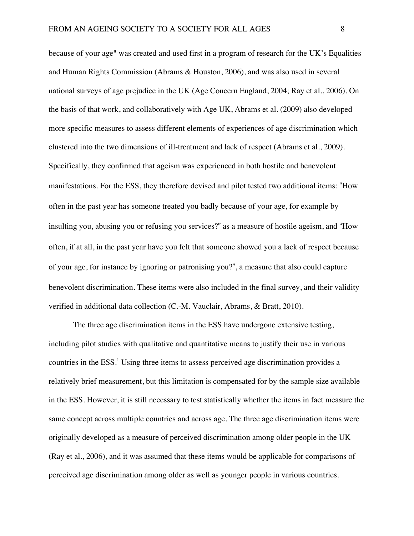because of your age" was created and used first in a program of research for the UK's Equalities and Human Rights Commission (Abrams & Houston, 2006), and was also used in several national surveys of age prejudice in the UK (Age Concern England, 2004; Ray et al., 2006). On the basis of that work, and collaboratively with Age UK, Abrams et al. (2009) also developed more specific measures to assess different elements of experiences of age discrimination which clustered into the two dimensions of ill-treatment and lack of respect (Abrams et al., 2009). Specifically, they confirmed that ageism was experienced in both hostile and benevolent manifestations. For the ESS, they therefore devised and pilot tested two additional items: "How often in the past year has someone treated you badly because of your age, for example by insulting you, abusing you or refusing you services?" as a measure of hostile ageism, and "How often, if at all, in the past year have you felt that someone showed you a lack of respect because of your age, for instance by ignoring or patronising you?", a measure that also could capture benevolent discrimination. These items were also included in the final survey, and their validity verified in additional data collection (C.-M. Vauclair, Abrams, & Bratt, 2010).

The three age discrimination items in the ESS have undergone extensive testing, including pilot studies with qualitative and quantitative means to justify their use in various countries in the ESS<sup>1</sup>. Using three items to assess perceived age discrimination provides a relatively brief measurement, but this limitation is compensated for by the sample size available in the ESS. However, it is still necessary to test statistically whether the items in fact measure the same concept across multiple countries and across age. The three age discrimination items were originally developed as a measure of perceived discrimination among older people in the UK (Ray et al., 2006), and it was assumed that these items would be applicable for comparisons of perceived age discrimination among older as well as younger people in various countries.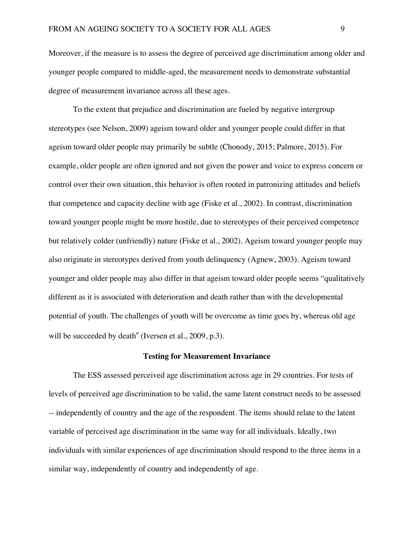Moreover, if the measure is to assess the degree of perceived age discrimination among older and younger people compared to middle-aged, the measurement needs to demonstrate substantial degree of measurement invariance across all these ages.

To the extent that prejudice and discrimination are fueled by negative intergroup stereotypes (see Nelson, 2009) ageism toward older and younger people could differ in that ageism toward older people may primarily be subtle (Chonody, 2015; Palmore, 2015). For example, older people are often ignored and not given the power and voice to express concern or control over their own situation, this behavior is often rooted in patronizing attitudes and beliefs that competence and capacity decline with age (Fiske et al., 2002). In contrast, discrimination toward younger people might be more hostile, due to stereotypes of their perceived competence but relatively colder (unfriendly) nature (Fiske et al., 2002). Ageism toward younger people may also originate in stereotypes derived from youth delinquency (Agnew, 2003). Ageism toward younger and older people may also differ in that ageism toward older people seems "qualitatively different as it is associated with deterioration and death rather than with the developmental potential of youth. The challenges of youth will be overcome as time goes by, whereas old age will be succeeded by death" (Iversen et al., 2009, p.3).

#### **Testing for Measurement Invariance**

The ESS assessed perceived age discrimination across age in 29 countries. For tests of levels of perceived age discrimination to be valid, the same latent construct needs to be assessed -- independently of country and the age of the respondent. The items should relate to the latent variable of perceived age discrimination in the same way for all individuals. Ideally, two individuals with similar experiences of age discrimination should respond to the three items in a similar way, independently of country and independently of age.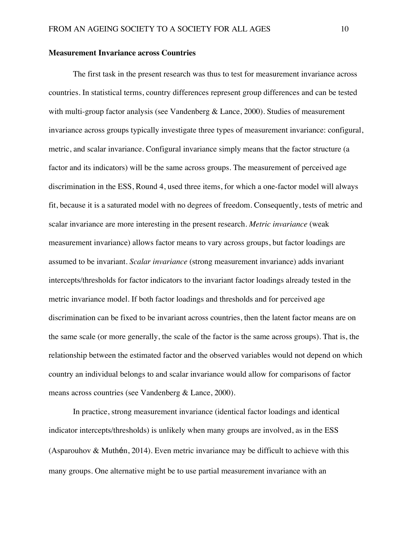#### **Measurement Invariance across Countries**

The first task in the present research was thus to test for measurement invariance across countries. In statistical terms, country differences represent group differences and can be tested with multi-group factor analysis (see Vandenberg & Lance, 2000). Studies of measurement invariance across groups typically investigate three types of measurement invariance: configural, metric, and scalar invariance. Configural invariance simply means that the factor structure (a factor and its indicators) will be the same across groups. The measurement of perceived age discrimination in the ESS, Round 4, used three items, for which a one-factor model will always fit, because it is a saturated model with no degrees of freedom. Consequently, tests of metric and scalar invariance are more interesting in the present research. *Metric invariance* (weak measurement invariance) allows factor means to vary across groups, but factor loadings are assumed to be invariant. *Scalar invariance* (strong measurement invariance) adds invariant intercepts/thresholds for factor indicators to the invariant factor loadings already tested in the metric invariance model. If both factor loadings and thresholds and for perceived age discrimination can be fixed to be invariant across countries, then the latent factor means are on the same scale (or more generally, the scale of the factor is the same across groups). That is, the relationship between the estimated factor and the observed variables would not depend on which country an individual belongs to and scalar invariance would allow for comparisons of factor means across countries (see Vandenberg & Lance, 2000).

In practice, strong measurement invariance (identical factor loadings and identical indicator intercepts/thresholds) is unlikely when many groups are involved, as in the ESS (Asparouhov & Muthén, 2014). Even metric invariance may be difficult to achieve with this many groups. One alternative might be to use partial measurement invariance with an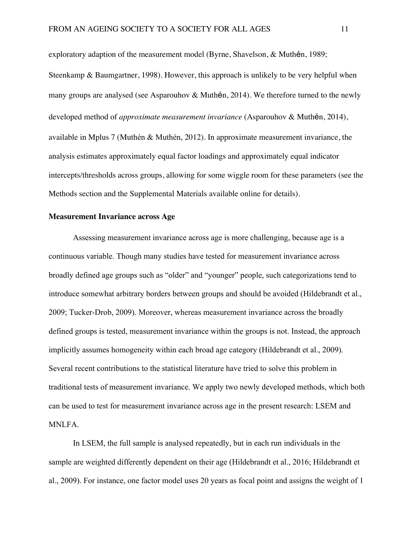exploratory adaption of the measurement model (Byrne, Shavelson, & Muthén, 1989; Steenkamp & Baumgartner, 1998). However, this approach is unlikely to be very helpful when many groups are analysed (see Asparouhov & Muthén, 2014). We therefore turned to the newly developed method of *approximate measurement invariance* (Asparouhov & Muthén, 2014), available in Mplus 7 (Muthén & Muthén, 2012). In approximate measurement invariance, the analysis estimates approximately equal factor loadings and approximately equal indicator intercepts/thresholds across groups, allowing for some wiggle room for these parameters (see the Methods section and the Supplemental Materials available online for details).

#### **Measurement Invariance across Age**

Assessing measurement invariance across age is more challenging, because age is a continuous variable. Though many studies have tested for measurement invariance across broadly defined age groups such as "older" and "younger" people, such categorizations tend to introduce somewhat arbitrary borders between groups and should be avoided (Hildebrandt et al., 2009; Tucker-Drob, 2009). Moreover, whereas measurement invariance across the broadly defined groups is tested, measurement invariance within the groups is not. Instead, the approach implicitly assumes homogeneity within each broad age category (Hildebrandt et al., 2009). Several recent contributions to the statistical literature have tried to solve this problem in traditional tests of measurement invariance. We apply two newly developed methods, which both can be used to test for measurement invariance across age in the present research: LSEM and MNLFA.

In LSEM, the full sample is analysed repeatedly, but in each run individuals in the sample are weighted differently dependent on their age (Hildebrandt et al., 2016; Hildebrandt et al., 2009). For instance, one factor model uses 20 years as focal point and assigns the weight of 1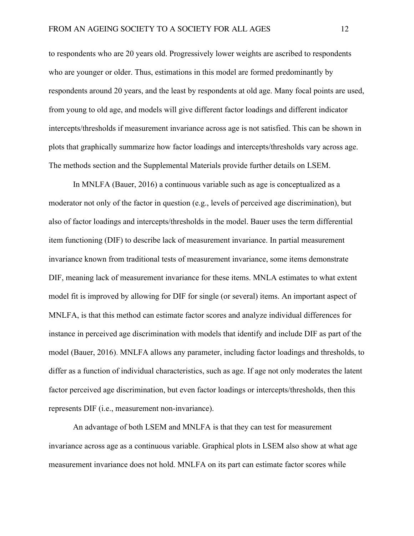to respondents who are 20 years old. Progressively lower weights are ascribed to respondents who are younger or older. Thus, estimations in this model are formed predominantly by respondents around 20 years, and the least by respondents at old age. Many focal points are used, from young to old age, and models will give different factor loadings and different indicator intercepts/thresholds if measurement invariance across age is not satisfied. This can be shown in plots that graphically summarize how factor loadings and intercepts/thresholds vary across age. The methods section and the Supplemental Materials provide further details on LSEM.

In MNLFA (Bauer, 2016) a continuous variable such as age is conceptualized as a moderator not only of the factor in question (e.g., levels of perceived age discrimination), but also of factor loadings and intercepts/thresholds in the model. Bauer uses the term differential item functioning (DIF) to describe lack of measurement invariance. In partial measurement invariance known from traditional tests of measurement invariance, some items demonstrate DIF, meaning lack of measurement invariance for these items. MNLA estimates to what extent model fit is improved by allowing for DIF for single (or several) items. An important aspect of MNLFA, is that this method can estimate factor scores and analyze individual differences for instance in perceived age discrimination with models that identify and include DIF as part of the model (Bauer, 2016). MNLFA allows any parameter, including factor loadings and thresholds, to differ as a function of individual characteristics, such as age. If age not only moderates the latent factor perceived age discrimination, but even factor loadings or intercepts/thresholds, then this represents DIF (i.e., measurement non-invariance).

An advantage of both LSEM and MNLFA is that they can test for measurement invariance across age as a continuous variable. Graphical plots in LSEM also show at what age measurement invariance does not hold. MNLFA on its part can estimate factor scores while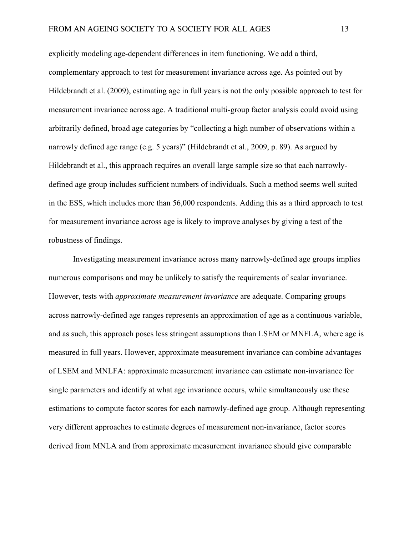explicitly modeling age-dependent differences in item functioning. We add a third, complementary approach to test for measurement invariance across age. As pointed out by Hildebrandt et al. (2009), estimating age in full years is not the only possible approach to test for measurement invariance across age. A traditional multi-group factor analysis could avoid using arbitrarily defined, broad age categories by "collecting a high number of observations within a narrowly defined age range (e.g. 5 years)" (Hildebrandt et al., 2009, p. 89). As argued by Hildebrandt et al., this approach requires an overall large sample size so that each narrowlydefined age group includes sufficient numbers of individuals. Such a method seems well suited in the ESS, which includes more than 56,000 respondents. Adding this as a third approach to test for measurement invariance across age is likely to improve analyses by giving a test of the robustness of findings.

Investigating measurement invariance across many narrowly-defined age groups implies numerous comparisons and may be unlikely to satisfy the requirements of scalar invariance. However, tests with *approximate measurement invariance* are adequate. Comparing groups across narrowly-defined age ranges represents an approximation of age as a continuous variable, and as such, this approach poses less stringent assumptions than LSEM or MNFLA, where age is measured in full years. However, approximate measurement invariance can combine advantages of LSEM and MNLFA: approximate measurement invariance can estimate non-invariance for single parameters and identify at what age invariance occurs, while simultaneously use these estimations to compute factor scores for each narrowly-defined age group. Although representing very different approaches to estimate degrees of measurement non-invariance, factor scores derived from MNLA and from approximate measurement invariance should give comparable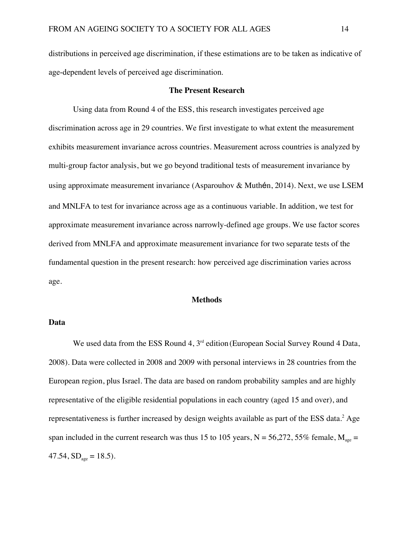distributions in perceived age discrimination, if these estimations are to be taken as indicative of age-dependent levels of perceived age discrimination.

#### **The Present Research**

Using data from Round 4 of the ESS, this research investigates perceived age discrimination across age in 29 countries. We first investigate to what extent the measurement exhibits measurement invariance across countries. Measurement across countries is analyzed by multi-group factor analysis, but we go beyond traditional tests of measurement invariance by using approximate measurement invariance (Asparouhov & Muthén, 2014). Next, we use LSEM and MNLFA to test for invariance across age as a continuous variable. In addition, we test for approximate measurement invariance across narrowly-defined age groups. We use factor scores derived from MNLFA and approximate measurement invariance for two separate tests of the fundamental question in the present research: how perceived age discrimination varies across age.

#### **Methods**

#### **Data**

We used data from the ESS Round 4, 3<sup>rd</sup> edition (European Social Survey Round 4 Data, 2008). Data were collected in 2008 and 2009 with personal interviews in 28 countries from the European region, plus Israel. The data are based on random probability samples and are highly representative of the eligible residential populations in each country (aged 15 and over), and representativeness is further increased by design weights available as part of the ESS data.<sup>2</sup> Age span included in the current research was thus 15 to 105 years,  $N = 56,272, 55\%$  female,  $M_{\text{age}} =$ 47.54,  $SD<sub>age</sub> = 18.5$ .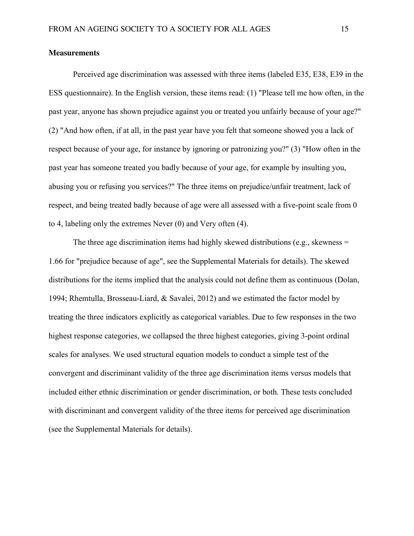#### **Measurements**

Perceived age discrimination was assessed with three items (labeled E35, E38, E39 in the ESS questionnaire). In the English version, these items read: (1) "Please tell me how often, in the past year, anyone has shown prejudice against you or treated you unfairly because of your age?" (2) "And how often, if at all, in the past year have you felt that someone showed you a lack of respect because of your age, for instance by ignoring or patronizing you?" (3) "How often in the past year has someone treated you badly because of your age, for example by insulting you, abusing you or refusing you services?" The three items on prejudice/unfair treatment, lack of respect, and being treated badly because of age were all assessed with a five-point scale from 0 to 4, labeling only the extremes Never (0) and Very often (4).

The three age discrimination items had highly skewed distributions (e.g., skewness = 1.66 for "prejudice because of age", see the Supplemental Materials for details). The skewed distributions for the items implied that the analysis could not define them as continuous (Dolan, 1994; Rhemtulla, Brosseau-Liard, & Savalei, 2012) and we estimated the factor model by treating the three indicators explicitly as categorical variables. Due to few responses in the two highest response categories, we collapsed the three highest categories, giving 3-point ordinal scales for analyses. We used structural equation models to conduct a simple test of the convergent and discriminant validity of the three age discrimination items versus models that included either ethnic discrimination or gender discrimination, or both. These tests concluded with discriminant and convergent validity of the three items for perceived age discrimination (see the Supplemental Materials for details).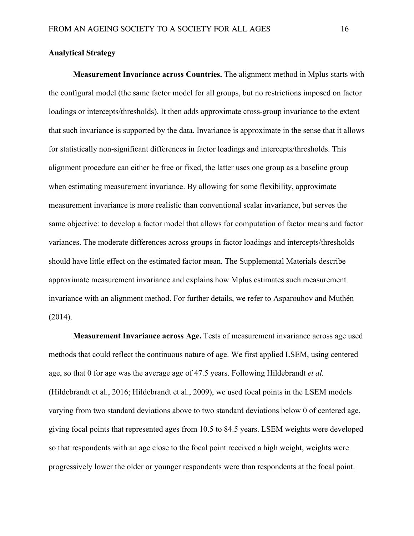#### **Analytical Strategy**

**Measurement Invariance across Countries.** The alignment method in Mplus starts with the configural model (the same factor model for all groups, but no restrictions imposed on factor loadings or intercepts/thresholds). It then adds approximate cross-group invariance to the extent that such invariance is supported by the data. Invariance is approximate in the sense that it allows for statistically non-significant differences in factor loadings and intercepts/thresholds. This alignment procedure can either be free or fixed, the latter uses one group as a baseline group when estimating measurement invariance. By allowing for some flexibility, approximate measurement invariance is more realistic than conventional scalar invariance, but serves the same objective: to develop a factor model that allows for computation of factor means and factor variances. The moderate differences across groups in factor loadings and intercepts/thresholds should have little effect on the estimated factor mean. The Supplemental Materials describe approximate measurement invariance and explains how Mplus estimates such measurement invariance with an alignment method. For further details, we refer to Asparouhov and Muthén  $(2014).$ 

**Measurement Invariance across Age.** Tests of measurement invariance across age used methods that could reflect the continuous nature of age. We first applied LSEM, using centered age, so that 0 for age was the average age of 47.5 years. Following Hildebrandt *et al.* (Hildebrandt et al., 2016; Hildebrandt et al., 2009), we used focal points in the LSEM models varying from two standard deviations above to two standard deviations below 0 of centered age, giving focal points that represented ages from 10.5 to 84.5 years. LSEM weights were developed so that respondents with an age close to the focal point received a high weight, weights were progressively lower the older or younger respondents were than respondents at the focal point.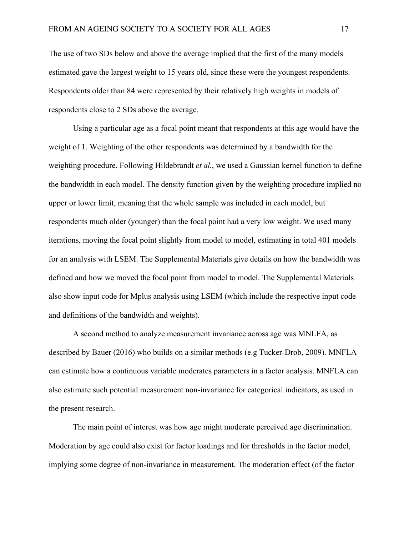The use of two SDs below and above the average implied that the first of the many models estimated gave the largest weight to 15 years old, since these were the youngest respondents. Respondents older than 84 were represented by their relatively high weights in models of respondents close to 2 SDs above the average.

Using a particular age as a focal point meant that respondents at this age would have the weight of 1. Weighting of the other respondents was determined by a bandwidth for the weighting procedure. Following Hildebrandt *et al.*, we used a Gaussian kernel function to define the bandwidth in each model. The density function given by the weighting procedure implied no upper or lower limit, meaning that the whole sample was included in each model, but respondents much older (younger) than the focal point had a very low weight. We used many iterations, moving the focal point slightly from model to model, estimating in total 401 models for an analysis with LSEM. The Supplemental Materials give details on how the bandwidth was defined and how we moved the focal point from model to model. The Supplemental Materials also show input code for Mplus analysis using LSEM (which include the respective input code and definitions of the bandwidth and weights).

A second method to analyze measurement invariance across age was MNLFA, as described by Bauer (2016) who builds on a similar methods (e.g Tucker-Drob, 2009). MNFLA can estimate how a continuous variable moderates parameters in a factor analysis. MNFLA can also estimate such potential measurement non-invariance for categorical indicators, as used in the present research.

The main point of interest was how age might moderate perceived age discrimination. Moderation by age could also exist for factor loadings and for thresholds in the factor model, implying some degree of non-invariance in measurement. The moderation effect (of the factor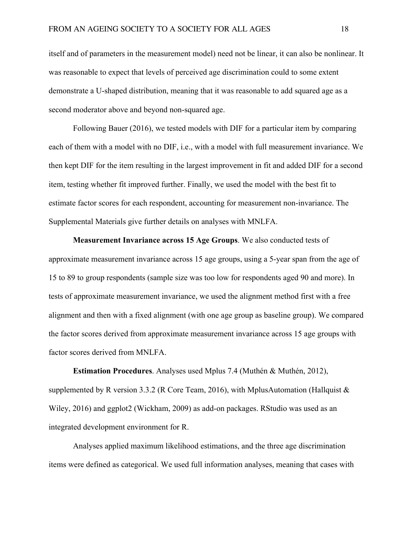itself and of parameters in the measurement model) need not be linear, it can also be nonlinear. It was reasonable to expect that levels of perceived age discrimination could to some extent demonstrate a U-shaped distribution, meaning that it was reasonable to add squared age as a second moderator above and beyond non-squared age.

Following Bauer (2016), we tested models with DIF for a particular item by comparing each of them with a model with no DIF, i.e., with a model with full measurement invariance. We then kept DIF for the item resulting in the largest improvement in fit and added DIF for a second item, testing whether fit improved further. Finally, we used the model with the best fit to estimate factor scores for each respondent, accounting for measurement non-invariance. The Supplemental Materials give further details on analyses with MNLFA.

**Measurement Invariance across 15 Age Groups**. We also conducted tests of approximate measurement invariance across 15 age groups, using a 5-year span from the age of 15 to 89 to group respondents (sample size was too low for respondents aged 90 and more). In tests of approximate measurement invariance, we used the alignment method first with a free alignment and then with a fixed alignment (with one age group as baseline group). We compared the factor scores derived from approximate measurement invariance across 15 age groups with factor scores derived from MNLFA.

**Estimation Procedures**. Analyses used Mplus 7.4 (Muthén & Muthén, 2012), supplemented by R version 3.3.2 (R Core Team, 2016), with MplusAutomation (Hallquist & Wiley, 2016) and ggplot2 (Wickham, 2009) as add-on packages. RStudio was used as an integrated development environment for R.

Analyses applied maximum likelihood estimations, and the three age discrimination items were defined as categorical. We used full information analyses, meaning that cases with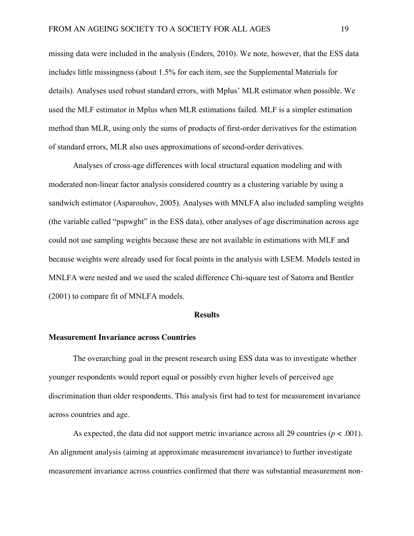missing data were included in the analysis (Enders, 2010). We note, however, that the ESS data includes little missingness (about 1.5% for each item, see the Supplemental Materials for details). Analyses used robust standard errors, with Mplus' MLR estimator when possible. We used the MLF estimator in Mplus when MLR estimations failed. MLF is a simpler estimation method than MLR, using only the sums of products of first-order derivatives for the estimation of standard errors, MLR also uses approximations of second-order derivatives.

Analyses of cross-age differences with local structural equation modeling and with moderated non-linear factor analysis considered country as a clustering variable by using a sandwich estimator (Asparouhov, 2005). Analyses with MNLFA also included sampling weights (the variable called "pspwght" in the ESS data), other analyses of age discrimination across age could not use sampling weights because these are not available in estimations with MLF and because weights were already used for focal points in the analysis with LSEM. Models tested in MNLFA were nested and we used the scaled difference Chi-square test of Satorra and Bentler (2001) to compare fit of MNLFA models.

#### **Results**

#### **Measurement Invariance across Countries**

The overarching goal in the present research using ESS data was to investigate whether younger respondents would report equal or possibly even higher levels of perceived age discrimination than older respondents. This analysis first had to test for measurement invariance across countries and age.

As expected, the data did not support metric invariance across all 29 countries ( $p < .001$ ). An alignment analysis (aiming at approximate measurement invariance) to further investigate measurement invariance across countries confirmed that there was substantial measurement non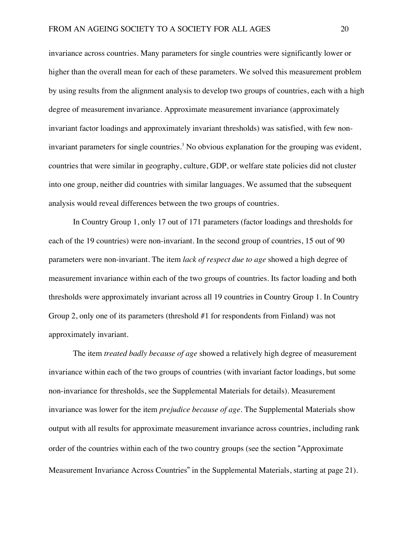invariance across countries. Many parameters for single countries were significantly lower or higher than the overall mean for each of these parameters. We solved this measurement problem by using results from the alignment analysis to develop two groups of countries, each with a high degree of measurement invariance. Approximate measurement invariance (approximately invariant factor loadings and approximately invariant thresholds) was satisfied, with few noninvariant parameters for single countries. <sup>3</sup> No obvious explanation for the grouping was evident, countries that were similar in geography, culture, GDP, or welfare state policies did not cluster into one group, neither did countries with similar languages. We assumed that the subsequent analysis would reveal differences between the two groups of countries.

In Country Group 1, only 17 out of 171 parameters (factor loadings and thresholds for each of the 19 countries) were non-invariant. In the second group of countries, 15 out of 90 parameters were non-invariant. The item *lack of respect due to age* showed a high degree of measurement invariance within each of the two groups of countries. Its factor loading and both thresholds were approximately invariant across all 19 countries in Country Group 1. In Country Group 2, only one of its parameters (threshold #1 for respondents from Finland) was not approximately invariant.

The item *treated badly because of age* showed a relatively high degree of measurement invariance within each of the two groups of countries (with invariant factor loadings, but some non-invariance for thresholds, see the Supplemental Materials for details). Measurement invariance was lower for the item *prejudice because of age*. The Supplemental Materials show output with all results for approximate measurement invariance across countries, including rank order of the countries within each of the two country groups (see the section "Approximate Measurement Invariance Across Countries" in the Supplemental Materials, starting at page 21).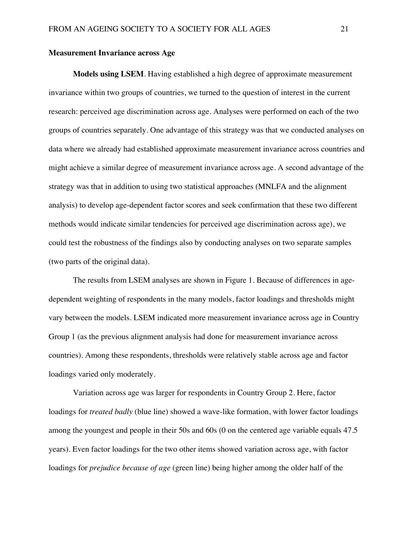#### **Measurement Invariance across Age**

**Models using LSEM**. Having established a high degree of approximate measurement invariance within two groups of countries, we turned to the question of interest in the current research: perceived age discrimination across age. Analyses were performed on each of the two groups of countries separately. One advantage of this strategy was that we conducted analyses on data where we already had established approximate measurement invariance across countries and might achieve a similar degree of measurement invariance across age. A second advantage of the strategy was that in addition to using two statistical approaches (MNLFA and the alignment analysis) to develop age-dependent factor scores and seek confirmation that these two different methods would indicate similar tendencies for perceived age discrimination across age), we could test the robustness of the findings also by conducting analyses on two separate samples (two parts of the original data).

The results from LSEM analyses are shown in Figure 1. Because of differences in agedependent weighting of respondents in the many models, factor loadings and thresholds might vary between the models. LSEM indicated more measurement invariance across age in Country Group 1 (as the previous alignment analysis had done for measurement invariance across countries). Among these respondents, thresholds were relatively stable across age and factor loadings varied only moderately.

Variation across age was larger for respondents in Country Group 2. Here, factor loadings for *treated badly* (blue line) showed a wave-like formation, with lower factor loadings among the youngest and people in their 50s and 60s (0 on the centered age variable equals 47.5 years). Even factor loadings for the two other items showed variation across age, with factor loadings for *prejudice because of age* (green line) being higher among the older half of the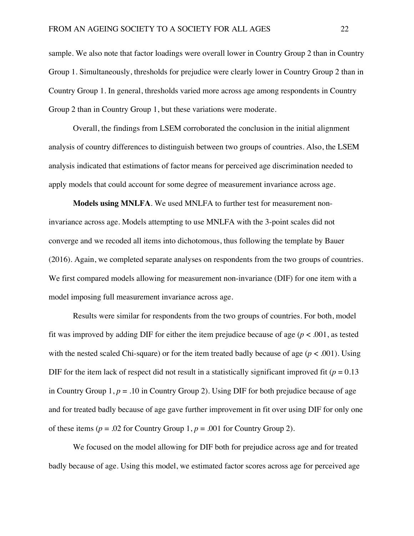sample. We also note that factor loadings were overall lower in Country Group 2 than in Country Group 1. Simultaneously, thresholds for prejudice were clearly lower in Country Group 2 than in Country Group 1. In general, thresholds varied more across age among respondents in Country Group 2 than in Country Group 1, but these variations were moderate.

Overall, the findings from LSEM corroborated the conclusion in the initial alignment analysis of country differences to distinguish between two groups of countries. Also, the LSEM analysis indicated that estimations of factor means for perceived age discrimination needed to apply models that could account for some degree of measurement invariance across age.

**Models using MNLFA**. We used MNLFA to further test for measurement noninvariance across age. Models attempting to use MNLFA with the 3-point scales did not converge and we recoded all items into dichotomous, thus following the template by Bauer (2016). Again, we completed separate analyses on respondents from the two groups of countries. We first compared models allowing for measurement non-invariance (DIF) for one item with a model imposing full measurement invariance across age.

Results were similar for respondents from the two groups of countries. For both, model fit was improved by adding DIF for either the item prejudice because of age ( $p < .001$ , as tested with the nested scaled Chi-square) or for the item treated badly because of age  $(p < .001)$ . Using DIF for the item lack of respect did not result in a statistically significant improved fit ( $p = 0.13$ ) in Country Group 1,  $p = .10$  in Country Group 2). Using DIF for both prejudice because of age and for treated badly because of age gave further improvement in fit over using DIF for only one of these items ( $p = .02$  for Country Group 1,  $p = .001$  for Country Group 2).

We focused on the model allowing for DIF both for prejudice across age and for treated badly because of age. Using this model, we estimated factor scores across age for perceived age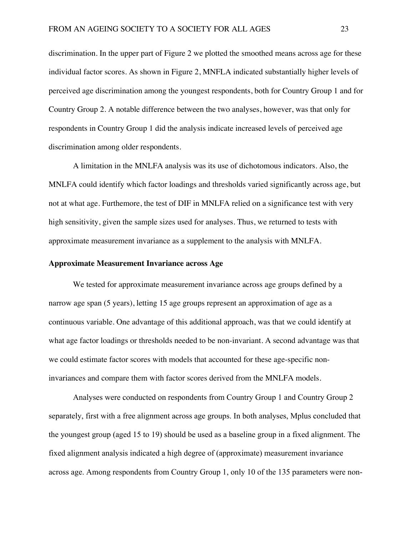discrimination. In the upper part of Figure 2 we plotted the smoothed means across age for these individual factor scores. As shown in Figure 2, MNFLA indicated substantially higher levels of perceived age discrimination among the youngest respondents, both for Country Group 1 and for Country Group 2. A notable difference between the two analyses, however, was that only for respondents in Country Group 1 did the analysis indicate increased levels of perceived age discrimination among older respondents.

A limitation in the MNLFA analysis was its use of dichotomous indicators. Also, the MNLFA could identify which factor loadings and thresholds varied significantly across age, but not at what age. Furthemore, the test of DIF in MNLFA relied on a significance test with very high sensitivity, given the sample sizes used for analyses. Thus, we returned to tests with approximate measurement invariance as a supplement to the analysis with MNLFA.

#### **Approximate Measurement Invariance across Age**

We tested for approximate measurement invariance across age groups defined by a narrow age span (5 years), letting 15 age groups represent an approximation of age as a continuous variable. One advantage of this additional approach, was that we could identify at what age factor loadings or thresholds needed to be non-invariant. A second advantage was that we could estimate factor scores with models that accounted for these age-specific noninvariances and compare them with factor scores derived from the MNLFA models.

Analyses were conducted on respondents from Country Group 1 and Country Group 2 separately, first with a free alignment across age groups. In both analyses, Mplus concluded that the youngest group (aged 15 to 19) should be used as a baseline group in a fixed alignment. The fixed alignment analysis indicated a high degree of (approximate) measurement invariance across age. Among respondents from Country Group 1, only 10 of the 135 parameters were non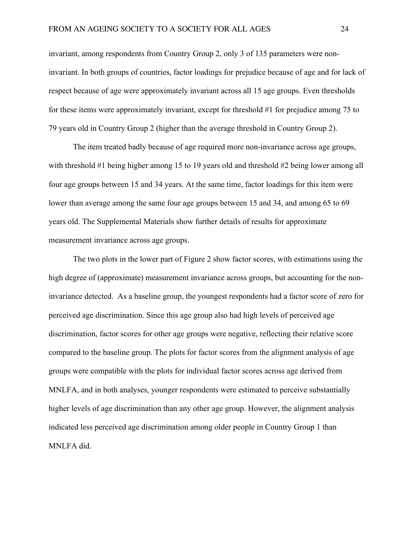invariant, among respondents from Country Group 2, only 3 of 135 parameters were noninvariant. In both groups of countries, factor loadings for prejudice because of age and for lack of respect because of age were approximately invariant across all 15 age groups. Even thresholds for these items were approximately invariant, except for threshold #1 for prejudice among 75 to 79 years old in Country Group 2 (higher than the average threshold in Country Group 2).

The item treated badly because of age required more non-invariance across age groups, with threshold #1 being higher among 15 to 19 years old and threshold #2 being lower among all four age groups between 15 and 34 years. At the same time, factor loadings for this item were lower than average among the same four age groups between 15 and 34, and among 65 to 69 years old. The Supplemental Materials show further details of results for approximate measurement invariance across age groups.

The two plots in the lower part of Figure 2 show factor scores, with estimations using the high degree of (approximate) measurement invariance across groups, but accounting for the noninvariance detected. As a baseline group, the youngest respondents had a factor score of zero for perceived age discrimination. Since this age group also had high levels of perceived age discrimination, factor scores for other age groups were negative, reflecting their relative score compared to the baseline group. The plots for factor scores from the alignment analysis of age groups were compatible with the plots for individual factor scores across age derived from MNLFA, and in both analyses, younger respondents were estimated to perceive substantially higher levels of age discrimination than any other age group. However, the alignment analysis indicated less perceived age discrimination among older people in Country Group 1 than MNLFA did.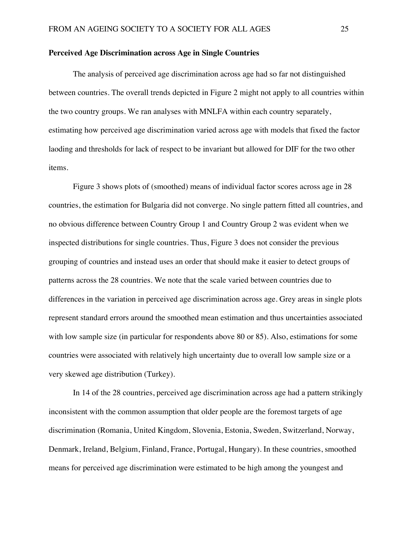#### **Perceived Age Discrimination across Age in Single Countries**

The analysis of perceived age discrimination across age had so far not distinguished between countries. The overall trends depicted in Figure 2 might not apply to all countries within the two country groups. We ran analyses with MNLFA within each country separately, estimating how perceived age discrimination varied across age with models that fixed the factor laoding and thresholds for lack of respect to be invariant but allowed for DIF for the two other items.

Figure 3 shows plots of (smoothed) means of individual factor scores across age in 28 countries, the estimation for Bulgaria did not converge. No single pattern fitted all countries, and no obvious difference between Country Group 1 and Country Group 2 was evident when we inspected distributions for single countries. Thus, Figure 3 does not consider the previous grouping of countries and instead uses an order that should make it easier to detect groups of patterns across the 28 countries. We note that the scale varied between countries due to differences in the variation in perceived age discrimination across age. Grey areas in single plots represent standard errors around the smoothed mean estimation and thus uncertainties associated with low sample size (in particular for respondents above 80 or 85). Also, estimations for some countries were associated with relatively high uncertainty due to overall low sample size or a very skewed age distribution (Turkey).

In 14 of the 28 countries, perceived age discrimination across age had a pattern strikingly inconsistent with the common assumption that older people are the foremost targets of age discrimination (Romania, United Kingdom, Slovenia, Estonia, Sweden, Switzerland, Norway, Denmark, Ireland, Belgium, Finland, France, Portugal, Hungary). In these countries, smoothed means for perceived age discrimination were estimated to be high among the youngest and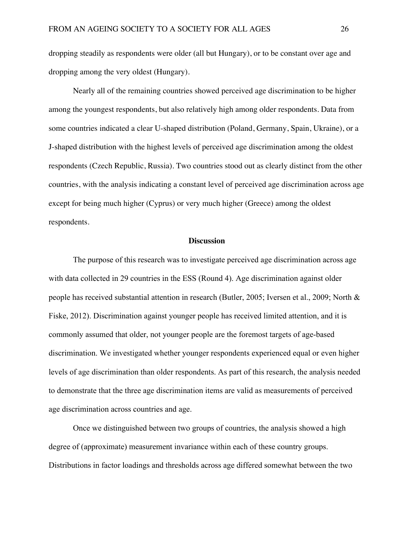dropping steadily as respondents were older (all but Hungary), or to be constant over age and dropping among the very oldest (Hungary).

Nearly all of the remaining countries showed perceived age discrimination to be higher among the youngest respondents, but also relatively high among older respondents. Data from some countries indicated a clear U-shaped distribution (Poland, Germany, Spain, Ukraine), or a J-shaped distribution with the highest levels of perceived age discrimination among the oldest respondents (Czech Republic, Russia). Two countries stood out as clearly distinct from the other countries, with the analysis indicating a constant level of perceived age discrimination across age except for being much higher (Cyprus) or very much higher (Greece) among the oldest respondents.

#### **Discussion**

The purpose of this research was to investigate perceived age discrimination across age with data collected in 29 countries in the ESS (Round 4). Age discrimination against older people has received substantial attention in research (Butler, 2005; Iversen et al., 2009; North & Fiske, 2012). Discrimination against younger people has received limited attention, and it is commonly assumed that older, not younger people are the foremost targets of age-based discrimination. We investigated whether younger respondents experienced equal or even higher levels of age discrimination than older respondents. As part of this research, the analysis needed to demonstrate that the three age discrimination items are valid as measurements of perceived age discrimination across countries and age.

Once we distinguished between two groups of countries, the analysis showed a high degree of (approximate) measurement invariance within each of these country groups. Distributions in factor loadings and thresholds across age differed somewhat between the two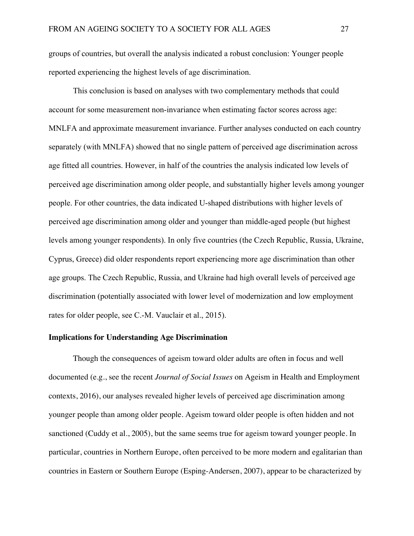groups of countries, but overall the analysis indicated a robust conclusion: Younger people reported experiencing the highest levels of age discrimination.

This conclusion is based on analyses with two complementary methods that could account for some measurement non-invariance when estimating factor scores across age: MNLFA and approximate measurement invariance. Further analyses conducted on each country separately (with MNLFA) showed that no single pattern of perceived age discrimination across age fitted all countries. However, in half of the countries the analysis indicated low levels of perceived age discrimination among older people, and substantially higher levels among younger people. For other countries, the data indicated U-shaped distributions with higher levels of perceived age discrimination among older and younger than middle-aged people (but highest levels among younger respondents). In only five countries (the Czech Republic, Russia, Ukraine, Cyprus, Greece) did older respondents report experiencing more age discrimination than other age groups. The Czech Republic, Russia, and Ukraine had high overall levels of perceived age discrimination (potentially associated with lower level of modernization and low employment rates for older people, see C.-M. Vauclair et al., 2015).

#### **Implications for Understanding Age Discrimination**

Though the consequences of ageism toward older adults are often in focus and well documented (e.g., see the recent *Journal of Social Issues* on Ageism in Health and Employment contexts, 2016), our analyses revealed higher levels of perceived age discrimination among younger people than among older people. Ageism toward older people is often hidden and not sanctioned (Cuddy et al., 2005), but the same seems true for ageism toward younger people. In particular, countries in Northern Europe, often perceived to be more modern and egalitarian than countries in Eastern or Southern Europe (Esping-Andersen, 2007), appear to be characterized by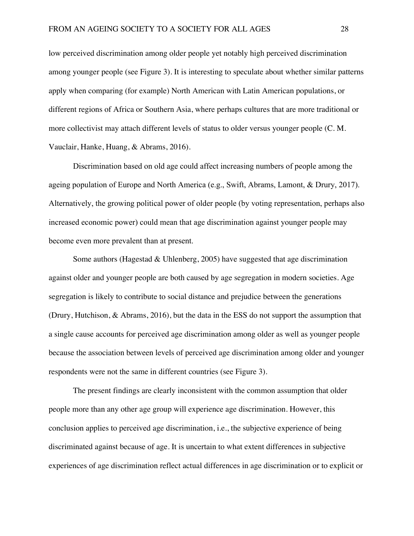low perceived discrimination among older people yet notably high perceived discrimination among younger people (see Figure 3). It is interesting to speculate about whether similar patterns apply when comparing (for example) North American with Latin American populations, or different regions of Africa or Southern Asia, where perhaps cultures that are more traditional or more collectivist may attach different levels of status to older versus younger people (C. M. Vauclair, Hanke, Huang, & Abrams, 2016).

Discrimination based on old age could affect increasing numbers of people among the ageing population of Europe and North America (e.g., Swift, Abrams, Lamont, & Drury, 2017). Alternatively, the growing political power of older people (by voting representation, perhaps also increased economic power) could mean that age discrimination against younger people may become even more prevalent than at present.

Some authors (Hagestad  $&$  Uhlenberg, 2005) have suggested that age discrimination against older and younger people are both caused by age segregation in modern societies. Age segregation is likely to contribute to social distance and prejudice between the generations (Drury, Hutchison, & Abrams, 2016), but the data in the ESS do not support the assumption that a single cause accounts for perceived age discrimination among older as well as younger people because the association between levels of perceived age discrimination among older and younger respondents were not the same in different countries (see Figure 3).

The present findings are clearly inconsistent with the common assumption that older people more than any other age group will experience age discrimination. However, this conclusion applies to perceived age discrimination, i.e., the subjective experience of being discriminated against because of age. It is uncertain to what extent differences in subjective experiences of age discrimination reflect actual differences in age discrimination or to explicit or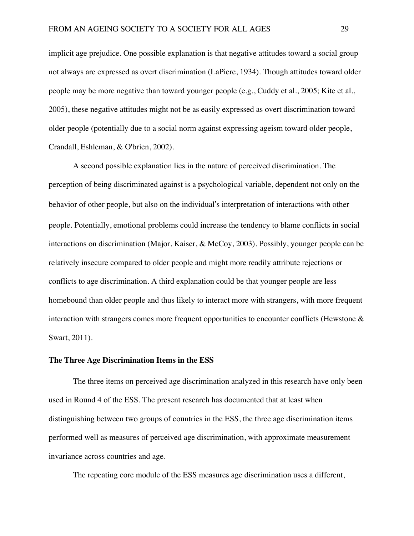implicit age prejudice. One possible explanation is that negative attitudes toward a social group not always are expressed as overt discrimination (LaPiere, 1934). Though attitudes toward older people may be more negative than toward younger people (e.g., Cuddy et al., 2005; Kite et al., 2005), these negative attitudes might not be as easily expressed as overt discrimination toward older people (potentially due to a social norm against expressing ageism toward older people, Crandall, Eshleman, & O'brien, 2002).

A second possible explanation lies in the nature of perceived discrimination. The perception of being discriminated against is a psychological variable, dependent not only on the behavior of other people, but also on the individual's interpretation of interactions with other people. Potentially, emotional problems could increase the tendency to blame conflicts in social interactions on discrimination (Major, Kaiser, & McCoy, 2003). Possibly, younger people can be relatively insecure compared to older people and might more readily attribute rejections or conflicts to age discrimination. A third explanation could be that younger people are less homebound than older people and thus likely to interact more with strangers, with more frequent interaction with strangers comes more frequent opportunities to encounter conflicts (Hewstone & Swart, 2011).

#### **The Three Age Discrimination Items in the ESS**

The three items on perceived age discrimination analyzed in this research have only been used in Round 4 of the ESS. The present research has documented that at least when distinguishing between two groups of countries in the ESS, the three age discrimination items performed well as measures of perceived age discrimination, with approximate measurement invariance across countries and age.

The repeating core module of the ESS measures age discrimination uses a different,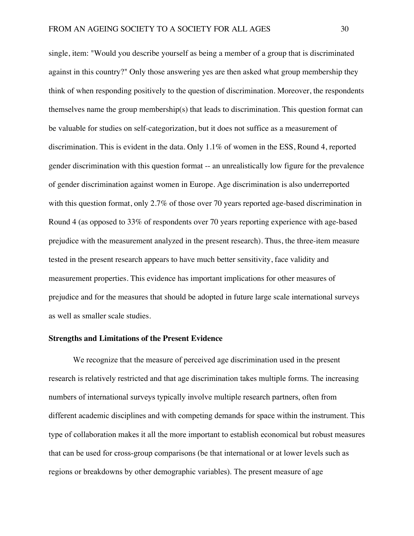single, item: "Would you describe yourself as being a member of a group that is discriminated against in this country?" Only those answering yes are then asked what group membership they think of when responding positively to the question of discrimination. Moreover, the respondents themselves name the group membership(s) that leads to discrimination. This question format can be valuable for studies on self-categorization, but it does not suffice as a measurement of discrimination. This is evident in the data. Only 1.1% of women in the ESS, Round 4, reported gender discrimination with this question format -- an unrealistically low figure for the prevalence of gender discrimination against women in Europe. Age discrimination is also underreported with this question format, only 2.7% of those over 70 years reported age-based discrimination in Round 4 (as opposed to 33% of respondents over 70 years reporting experience with age-based prejudice with the measurement analyzed in the present research). Thus, the three-item measure tested in the present research appears to have much better sensitivity, face validity and measurement properties. This evidence has important implications for other measures of prejudice and for the measures that should be adopted in future large scale international surveys as well as smaller scale studies.

#### **Strengths and Limitations of the Present Evidence**

We recognize that the measure of perceived age discrimination used in the present research is relatively restricted and that age discrimination takes multiple forms. The increasing numbers of international surveys typically involve multiple research partners, often from different academic disciplines and with competing demands for space within the instrument. This type of collaboration makes it all the more important to establish economical but robust measures that can be used for cross-group comparisons (be that international or at lower levels such as regions or breakdowns by other demographic variables). The present measure of age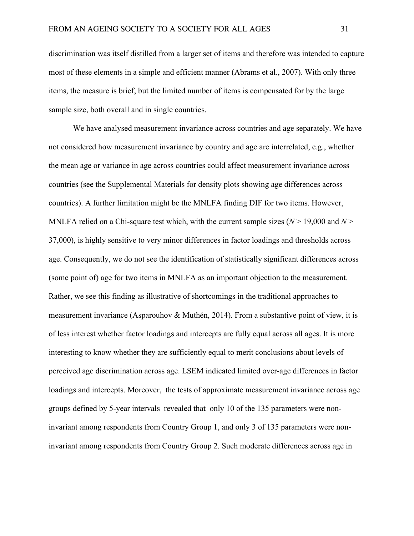discrimination was itself distilled from a larger set of items and therefore was intended to capture most of these elements in a simple and efficient manner (Abrams et al., 2007). With only three items, the measure is brief, but the limited number of items is compensated for by the large sample size, both overall and in single countries.

We have analysed measurement invariance across countries and age separately. We have not considered how measurement invariance by country and age are interrelated, e.g., whether the mean age or variance in age across countries could affect measurement invariance across countries (see the Supplemental Materials for density plots showing age differences across countries). A further limitation might be the MNLFA finding DIF for two items. However, MNLFA relied on a Chi-square test which, with the current sample sizes  $(N > 19,000$  and  $N >$ 37,000), is highly sensitive to very minor differences in factor loadings and thresholds across age. Consequently, we do not see the identification of statistically significant differences across (some point of) age for two items in MNLFA as an important objection to the measurement. Rather, we see this finding as illustrative of shortcomings in the traditional approaches to measurement invariance (Asparouhov & Muthén, 2014). From a substantive point of view, it is of less interest whether factor loadings and intercepts are fully equal across all ages. It is more interesting to know whether they are sufficiently equal to merit conclusions about levels of perceived age discrimination across age. LSEM indicated limited over-age differences in factor loadings and intercepts. Moreover, the tests of approximate measurement invariance across age groups defined by 5-year intervals revealed that only 10 of the 135 parameters were noninvariant among respondents from Country Group 1, and only 3 of 135 parameters were noninvariant among respondents from Country Group 2. Such moderate differences across age in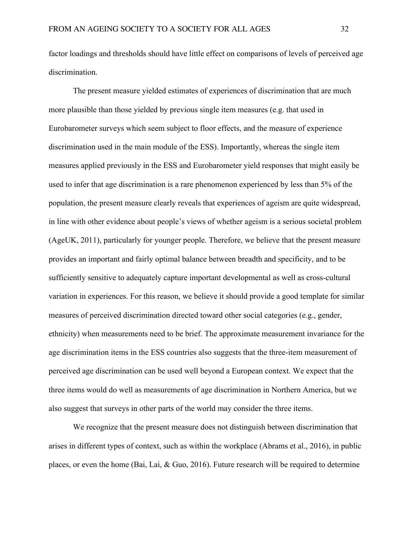factor loadings and thresholds should have little effect on comparisons of levels of perceived age discrimination.

The present measure yielded estimates of experiences of discrimination that are much more plausible than those yielded by previous single item measures (e.g. that used in Eurobarometer surveys which seem subject to floor effects, and the measure of experience discrimination used in the main module of the ESS). Importantly, whereas the single item measures applied previously in the ESS and Eurobarometer yield responses that might easily be used to infer that age discrimination is a rare phenomenon experienced by less than 5% of the population, the present measure clearly reveals that experiences of ageism are quite widespread, in line with other evidence about people's views of whether ageism is a serious societal problem (AgeUK, 2011), particularly for younger people. Therefore, we believe that the present measure provides an important and fairly optimal balance between breadth and specificity, and to be sufficiently sensitive to adequately capture important developmental as well as cross-cultural variation in experiences. For this reason, we believe it should provide a good template for similar measures of perceived discrimination directed toward other social categories (e.g., gender, ethnicity) when measurements need to be brief. The approximate measurement invariance for the age discrimination items in the ESS countries also suggests that the three-item measurement of perceived age discrimination can be used well beyond a European context. We expect that the three items would do well as measurements of age discrimination in Northern America, but we also suggest that surveys in other parts of the world may consider the three items.

We recognize that the present measure does not distinguish between discrimination that arises in different types of context, such as within the workplace (Abrams et al., 2016), in public places, or even the home (Bai, Lai, & Guo, 2016). Future research will be required to determine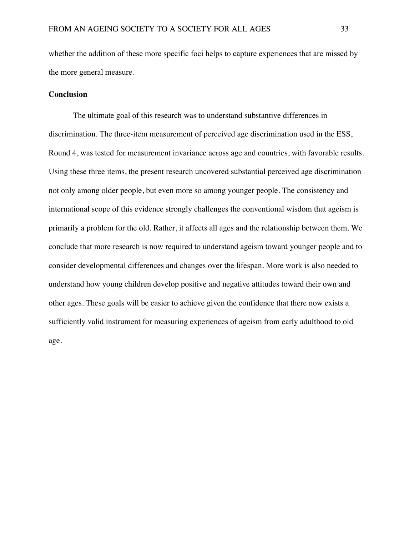whether the addition of these more specific foci helps to capture experiences that are missed by the more general measure.

#### **Conclusion**

The ultimate goal of this research was to understand substantive differences in discrimination. The three-item measurement of perceived age discrimination used in the ESS, Round 4, was tested for measurement invariance across age and countries, with favorable results. Using these three items, the present research uncovered substantial perceived age discrimination not only among older people, but even more so among younger people. The consistency and international scope of this evidence strongly challenges the conventional wisdom that ageism is primarily a problem for the old. Rather, it affects all ages and the relationship between them. We conclude that more research is now required to understand ageism toward younger people and to consider developmental differences and changes over the lifespan. More work is also needed to understand how young children develop positive and negative attitudes toward their own and other ages. These goals will be easier to achieve given the confidence that there now exists a sufficiently valid instrument for measuring experiences of ageism from early adulthood to old age.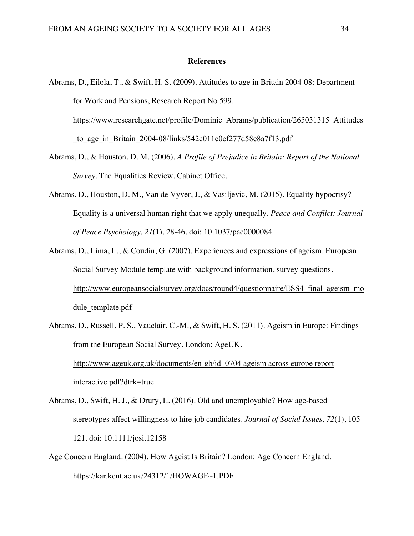#### **References**

```
Abrams, D., Eilola, T., & Swift, H. S. (2009). Attitudes to age in Britain 2004-08: Department
for Work and Pensions, Research Report No 599.
https://www.researchgate.net/profile/Dominic_Abrams/publication/265031315_Attitudes
to age in Britain 2004-08/links/542c011e0cf277d58e8a7f13.pdf
```
- Abrams, D., & Houston, D. M. (2006). *A Profile of Prejudice in Britain: Report of the National Survey*. The Equalities Review. Cabinet Office.
- Abrams, D., Houston, D. M., Van de Vyver, J., & Vasiljevic, M. (2015). Equality hypocrisy? Equality is a universal human right that we apply unequally. *Peace and Conflict: Journal of Peace Psychology, 21*(1), 28-46. doi: 10.1037/pac0000084
- Abrams, D., Lima, L., & Coudin, G. (2007). Experiences and expressions of ageism. European Social Survey Module template with background information, survey questions. http://www.europeansocialsurvey.org/docs/round4/questionnaire/ESS4\_final\_ageism\_mo dule template.pdf
- Abrams, D., Russell, P. S., Vauclair, C.-M., & Swift, H. S. (2011). Ageism in Europe: Findings from the European Social Survey. London: AgeUK. http://www.ageuk.org.uk/documents/en-gb/id10704 ageism across europe report interactive.pdf?dtrk=true
- Abrams, D., Swift, H. J., & Drury, L. (2016). Old and unemployable? How age-based stereotypes affect willingness to hire job candidates. *Journal of Social Issues, 72*(1), 105- 121. doi: 10.1111/josi.12158
- Age Concern England. (2004). How Ageist Is Britain? London: Age Concern England. https://kar.kent.ac.uk/24312/1/HOWAGE~1.PDF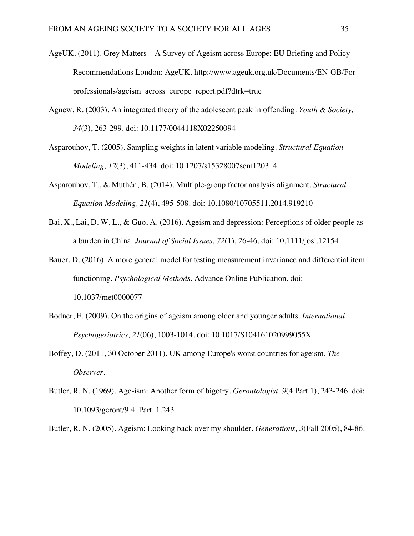- AgeUK. (2011). Grey Matters A Survey of Ageism across Europe: EU Briefing and Policy Recommendations London: AgeUK. http://www.ageuk.org.uk/Documents/EN-GB/Forprofessionals/ageism\_across\_europe\_report.pdf?dtrk=true
- Agnew, R. (2003). An integrated theory of the adolescent peak in offending. *Youth & Society, 34*(3), 263-299. doi: 10.1177/0044118X02250094
- Asparouhov, T. (2005). Sampling weights in latent variable modeling. *Structural Equation Modeling, 12*(3), 411-434. doi: 10.1207/s15328007sem1203\_4
- Asparouhov, T., & Muthén, B. (2014). Multiple-group factor analysis alignment. *Structural Equation Modeling, 21*(4), 495-508. doi: 10.1080/10705511.2014.919210
- Bai, X., Lai, D. W. L., & Guo, A. (2016). Ageism and depression: Perceptions of older people as a burden in China. *Journal of Social Issues, 72*(1), 26-46. doi: 10.1111/josi.12154
- Bauer, D. (2016). A more general model for testing measurement invariance and differential item functioning. *Psychological Methods*, Advance Online Publication. doi: 10.1037/met0000077
- Bodner, E. (2009). On the origins of ageism among older and younger adults. *International Psychogeriatrics, 21*(06), 1003-1014. doi: 10.1017/S104161020999055X
- Boffey, D. (2011, 30 October 2011). UK among Europe's worst countries for ageism. *The Observer*.
- Butler, R. N. (1969). Age-ism: Another form of bigotry. *Gerontologist, 9*(4 Part 1), 243-246. doi: 10.1093/geront/9.4\_Part\_1.243

Butler, R. N. (2005). Ageism: Looking back over my shoulder. *Generations, 3*(Fall 2005), 84-86.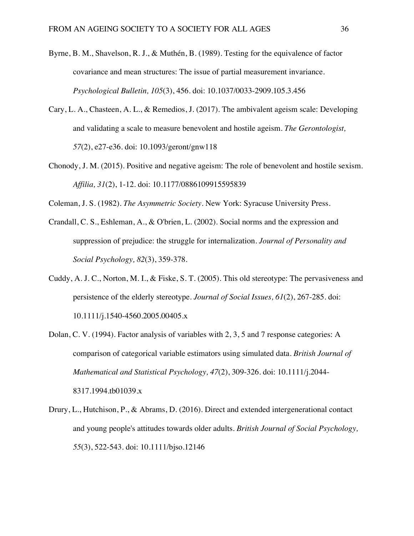- Byrne, B. M., Shavelson, R. J., & Muthén, B. (1989). Testing for the equivalence of factor covariance and mean structures: The issue of partial measurement invariance. *Psychological Bulletin, 105*(3), 456. doi: 10.1037/0033-2909.105.3.456
- Cary, L. A., Chasteen, A. L., & Remedios, J. (2017). The ambivalent ageism scale: Developing and validating a scale to measure benevolent and hostile ageism. *The Gerontologist, 57*(2), e27-e36. doi: 10.1093/geront/gnw118
- Chonody, J. M. (2015). Positive and negative ageism: The role of benevolent and hostile sexism. *Affilia, 31*(2), 1-12. doi: 10.1177/0886109915595839

Coleman, J. S. (1982). *The Asymmetric Society*. New York: Syracuse University Press.

- Crandall, C. S., Eshleman, A., & O'brien, L. (2002). Social norms and the expression and suppression of prejudice: the struggle for internalization. *Journal of Personality and Social Psychology, 82*(3), 359-378.
- Cuddy, A. J. C., Norton, M. I., & Fiske, S. T. (2005). This old stereotype: The pervasiveness and persistence of the elderly stereotype. *Journal of Social Issues, 61*(2), 267-285. doi: 10.1111/j.1540-4560.2005.00405.x
- Dolan, C. V. (1994). Factor analysis of variables with 2, 3, 5 and 7 response categories: A comparison of categorical variable estimators using simulated data. *British Journal of Mathematical and Statistical Psychology, 47*(2), 309-326. doi: 10.1111/j.2044- 8317.1994.tb01039.x
- Drury, L., Hutchison, P., & Abrams, D. (2016). Direct and extended intergenerational contact and young people's attitudes towards older adults. *British Journal of Social Psychology, 55*(3), 522-543. doi: 10.1111/bjso.12146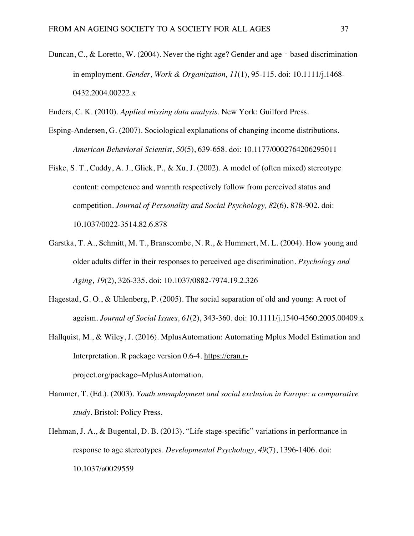- Duncan, C., & Loretto, W. (2004). Never the right age? Gender and age based discrimination in employment. *Gender, Work & Organization, 11*(1), 95-115. doi: 10.1111/j.1468- 0432.2004.00222.x
- Enders, C. K. (2010). *Applied missing data analysis*. New York: Guilford Press.
- Esping-Andersen, G. (2007). Sociological explanations of changing income distributions. *American Behavioral Scientist, 50*(5), 639-658. doi: 10.1177/0002764206295011
- Fiske, S. T., Cuddy, A. J., Glick, P., & Xu, J. (2002). A model of (often mixed) stereotype content: competence and warmth respectively follow from perceived status and competition. *Journal of Personality and Social Psychology, 82*(6), 878-902. doi: 10.1037/0022-3514.82.6.878
- Garstka, T. A., Schmitt, M. T., Branscombe, N. R., & Hummert, M. L. (2004). How young and older adults differ in their responses to perceived age discrimination. *Psychology and Aging, 19*(2), 326-335. doi: 10.1037/0882-7974.19.2.326
- Hagestad, G. O., & Uhlenberg, P. (2005). The social separation of old and young: A root of ageism. *Journal of Social Issues, 61*(2), 343-360. doi: 10.1111/j.1540-4560.2005.00409.x
- Hallquist, M., & Wiley, J. (2016). MplusAutomation: Automating Mplus Model Estimation and Interpretation. R package version 0.6-4. https://cran.rproject.org/package=MplusAutomation.
- Hammer, T. (Ed.). (2003). *Youth unemployment and social exclusion in Europe: a comparative study*. Bristol: Policy Press.
- Hehman, J. A., & Bugental, D. B. (2013). "Life stage-specific" variations in performance in response to age stereotypes. *Developmental Psychology, 49*(7), 1396-1406. doi: 10.1037/a0029559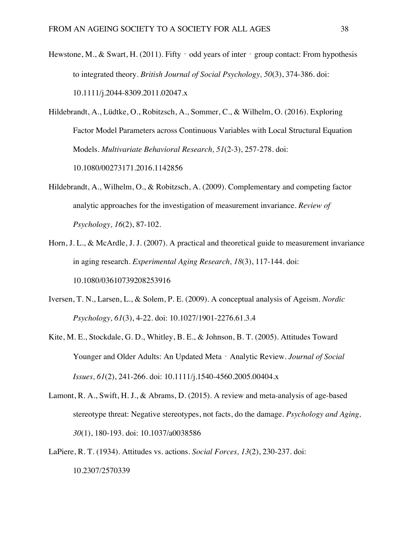- Hewstone, M., & Swart, H. (2011). Fifty  $\overline{\phantom{a}}$  odd years of inter  $\overline{\phantom{a}}$  group contact: From hypothesis to integrated theory. *British Journal of Social Psychology, 50*(3), 374-386. doi: 10.1111/j.2044-8309.2011.02047.x
- Hildebrandt, A., Lüdtke, O., Robitzsch, A., Sommer, C., & Wilhelm, O. (2016). Exploring Factor Model Parameters across Continuous Variables with Local Structural Equation Models. *Multivariate Behavioral Research, 51*(2-3), 257-278. doi: 10.1080/00273171.2016.1142856
- Hildebrandt, A., Wilhelm, O., & Robitzsch, A. (2009). Complementary and competing factor analytic approaches for the investigation of measurement invariance. *Review of Psychology, 16*(2), 87-102.
- Horn, J. L., & McArdle, J. J. (2007). A practical and theoretical guide to measurement invariance in aging research. *Experimental Aging Research, 18*(3), 117-144. doi: 10.1080/03610739208253916
- Iversen, T. N., Larsen, L., & Solem, P. E. (2009). A conceptual analysis of Ageism. *Nordic Psychology, 61*(3), 4-22. doi: 10.1027/1901-2276.61.3.4
- Kite, M. E., Stockdale, G. D., Whitley, B. E., & Johnson, B. T. (2005). Attitudes Toward Younger and Older Adults: An Updated Meta - Analytic Review. *Journal of Social Issues, 61*(2), 241-266. doi: 10.1111/j.1540-4560.2005.00404.x
- Lamont, R. A., Swift, H. J., & Abrams, D. (2015). A review and meta-analysis of age-based stereotype threat: Negative stereotypes, not facts, do the damage. *Psychology and Aging, 30*(1), 180-193. doi: 10.1037/a0038586
- LaPiere, R. T. (1934). Attitudes vs. actions. *Social Forces, 13*(2), 230-237. doi: 10.2307/2570339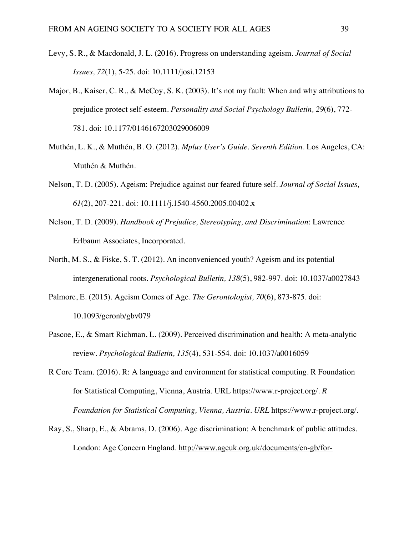- Levy, S. R., & Macdonald, J. L. (2016). Progress on understanding ageism. *Journal of Social Issues, 72*(1), 5-25. doi: 10.1111/josi.12153
- Major, B., Kaiser, C. R., & McCoy, S. K. (2003). It's not my fault: When and why attributions to prejudice protect self-esteem. *Personality and Social Psychology Bulletin, 29*(6), 772- 781. doi: 10.1177/0146167203029006009
- Muthén, L. K., & Muthén, B. O. (2012). *Mplus User's Guide. Seventh Edition*. Los Angeles, CA: Muthén & Muthén.
- Nelson, T. D. (2005). Ageism: Prejudice against our feared future self. *Journal of Social Issues, 61*(2), 207-221. doi: 10.1111/j.1540-4560.2005.00402.x
- Nelson, T. D. (2009). *Handbook of Prejudice, Stereotyping, and Discrimination*: Lawrence Erlbaum Associates, Incorporated.
- North, M. S., & Fiske, S. T. (2012). An inconvenienced youth? Ageism and its potential intergenerational roots. *Psychological Bulletin, 138*(5), 982-997. doi: 10.1037/a0027843
- Palmore, E. (2015). Ageism Comes of Age. *The Gerontologist, 70*(6), 873-875. doi: 10.1093/geronb/gbv079
- Pascoe, E., & Smart Richman, L. (2009). Perceived discrimination and health: A meta-analytic review. *Psychological Bulletin, 135*(4), 531-554. doi: 10.1037/a0016059
- R Core Team. (2016). R: A language and environment for statistical computing. R Foundation for Statistical Computing, Vienna, Austria. URL https://www.r-project.org/. *R Foundation for Statistical Computing, Vienna, Austria. URL* https://www.r-project.org/*.*
- Ray, S., Sharp, E., & Abrams, D. (2006). Age discrimination: A benchmark of public attitudes. London: Age Concern England. http://www.ageuk.org.uk/documents/en-gb/for-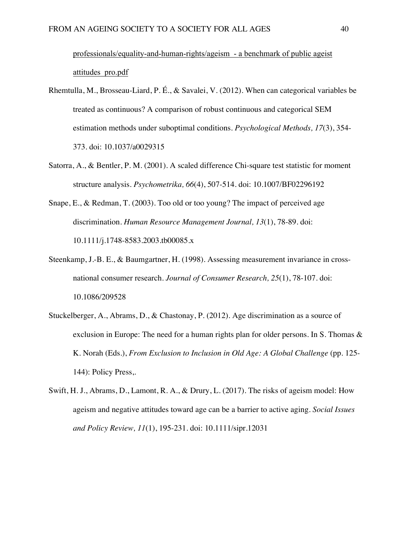professionals/equality-and-human-rights/ageism - a benchmark of public ageist attitudes\_pro.pdf

- Rhemtulla, M., Brosseau-Liard, P. É., & Savalei, V. (2012). When can categorical variables be treated as continuous? A comparison of robust continuous and categorical SEM estimation methods under suboptimal conditions. *Psychological Methods, 17*(3), 354- 373. doi: 10.1037/a0029315
- Satorra, A., & Bentler, P. M. (2001). A scaled difference Chi-square test statistic for moment structure analysis. *Psychometrika, 66*(4), 507-514. doi: 10.1007/BF02296192
- Snape, E., & Redman, T. (2003). Too old or too young? The impact of perceived age discrimination. *Human Resource Management Journal, 13*(1), 78-89. doi: 10.1111/j.1748-8583.2003.tb00085.x
- Steenkamp, J.-B. E., & Baumgartner, H. (1998). Assessing measurement invariance in crossnational consumer research. *Journal of Consumer Research, 25*(1), 78-107. doi: 10.1086/209528
- Stuckelberger, A., Abrams, D., & Chastonay, P. (2012). Age discrimination as a source of exclusion in Europe: The need for a human rights plan for older persons. In S. Thomas & K. Norah (Eds.), *From Exclusion to Inclusion in Old Age: A Global Challenge* (pp. 125- 144): Policy Press,.
- Swift, H. J., Abrams, D., Lamont, R. A., & Drury, L. (2017). The risks of ageism model: How ageism and negative attitudes toward age can be a barrier to active aging. *Social Issues and Policy Review, 11*(1), 195-231. doi: 10.1111/sipr.12031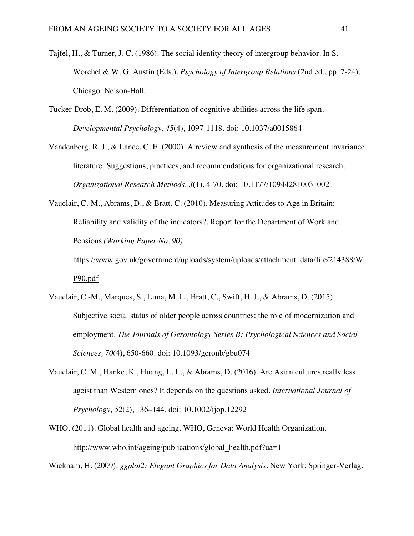- Tajfel, H., & Turner, J. C. (1986). The social identity theory of intergroup behavior. In S. Worchel & W. G. Austin (Eds.), *Psychology of Intergroup Relations* (2nd ed., pp. 7-24). Chicago: Nelson-Hall.
- Tucker-Drob, E. M. (2009). Differentiation of cognitive abilities across the life span. *Developmental Psychology, 45*(4), 1097-1118. doi: 10.1037/a0015864
- Vandenberg, R. J., & Lance, C. E. (2000). A review and synthesis of the measurement invariance literature: Suggestions, practices, and recommendations for organizational research. *Organizational Research Methods, 3*(1), 4-70. doi: 10.1177/109442810031002
- Vauclair, C.-M., Abrams, D., & Bratt, C. (2010). Measuring Attitudes to Age in Britain: Reliability and validity of the indicators?, Report for the Department of Work and Pensions *(Working Paper No. 90)*.

https://www.gov.uk/government/uploads/system/uploads/attachment\_data/file/214388/W P90.pdf

- Vauclair, C.-M., Marques, S., Lima, M. L., Bratt, C., Swift, H. J., & Abrams, D. (2015). Subjective social status of older people across countries: the role of modernization and employment. *The Journals of Gerontology Series B: Psychological Sciences and Social Sciences, 70*(4), 650-660. doi: 10.1093/geronb/gbu074
- Vauclair, C. M., Hanke, K., Huang, L. L., & Abrams, D. (2016). Are Asian cultures really less ageist than Western ones? It depends on the questions asked. *International Journal of Psychology, 52*(2), 136–144. doi: 10.1002/ijop.12292
- WHO. (2011). Global health and ageing. WHO, Geneva: World Health Organization. http://www.who.int/ageing/publications/global\_health.pdf?ua=1

Wickham, H. (2009). *ggplot2: Elegant Graphics for Data Analysis*. New York: Springer-Verlag.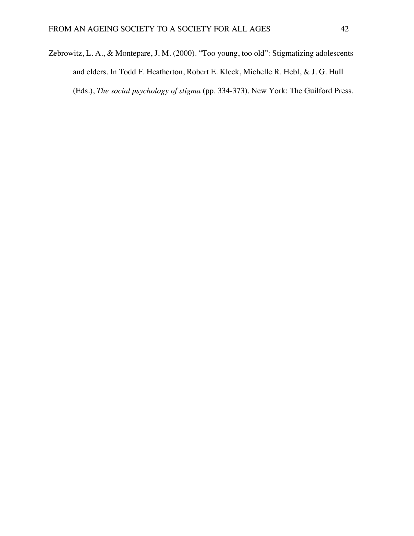Zebrowitz, L. A., & Montepare, J. M. (2000). "Too young, too old": Stigmatizing adolescents and elders. In Todd F. Heatherton, Robert E. Kleck, Michelle R. Hebl, & J. G. Hull (Eds.), *The social psychology of stigma* (pp. 334-373). New York: The Guilford Press.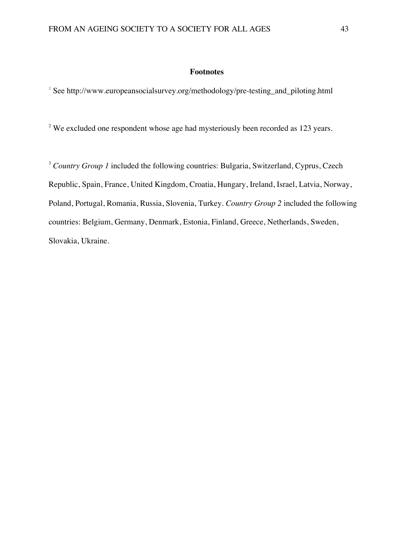#### **Footnotes**

<sup>1</sup> See http://www.europeansocialsurvey.org/methodology/pre-testing\_and\_piloting.html

<sup>2</sup> We excluded one respondent whose age had mysteriously been recorded as 123 years.

<sup>3</sup> *Country Group 1* included the following countries: Bulgaria, Switzerland, Cyprus, Czech Republic, Spain, France, United Kingdom, Croatia, Hungary, Ireland, Israel, Latvia, Norway, Poland, Portugal, Romania, Russia, Slovenia, Turkey. *Country Group 2* included the following countries: Belgium, Germany, Denmark, Estonia, Finland, Greece, Netherlands, Sweden, Slovakia, Ukraine.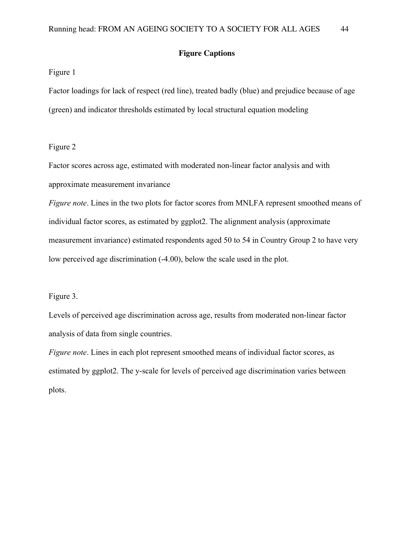#### **Figure Captions**

#### Figure 1

Factor loadings for lack of respect (red line), treated badly (blue) and prejudice because of age (green) and indicator thresholds estimated by local structural equation modeling

#### Figure 2

Factor scores across age, estimated with moderated non-linear factor analysis and with approximate measurement invariance

*Figure note*. Lines in the two plots for factor scores from MNLFA represent smoothed means of individual factor scores, as estimated by ggplot2. The alignment analysis (approximate measurement invariance) estimated respondents aged 50 to 54 in Country Group 2 to have very low perceived age discrimination (-4.00), below the scale used in the plot.

#### Figure 3.

Levels of perceived age discrimination across age, results from moderated non-linear factor analysis of data from single countries.

*Figure note*. Lines in each plot represent smoothed means of individual factor scores, as estimated by ggplot2. The y-scale for levels of perceived age discrimination varies between plots.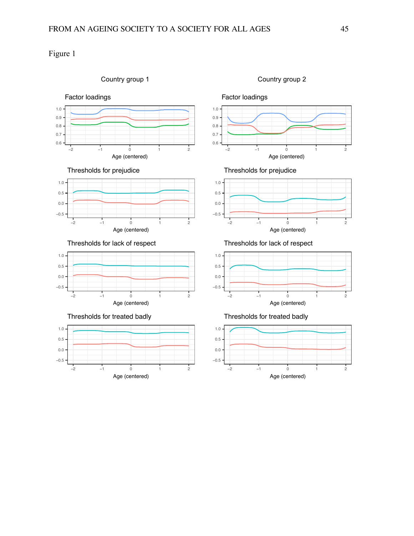## Figure 1

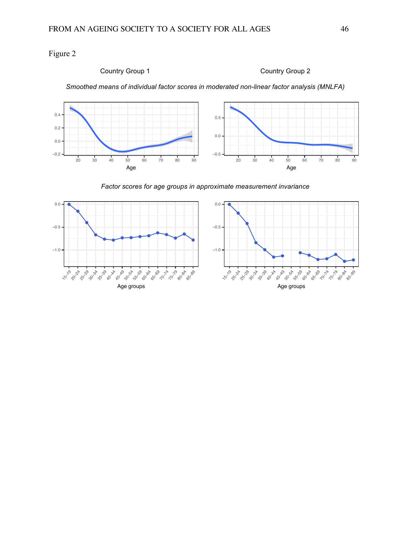Figure 2



*Factor scores for age groups in approximate measurement invariance*